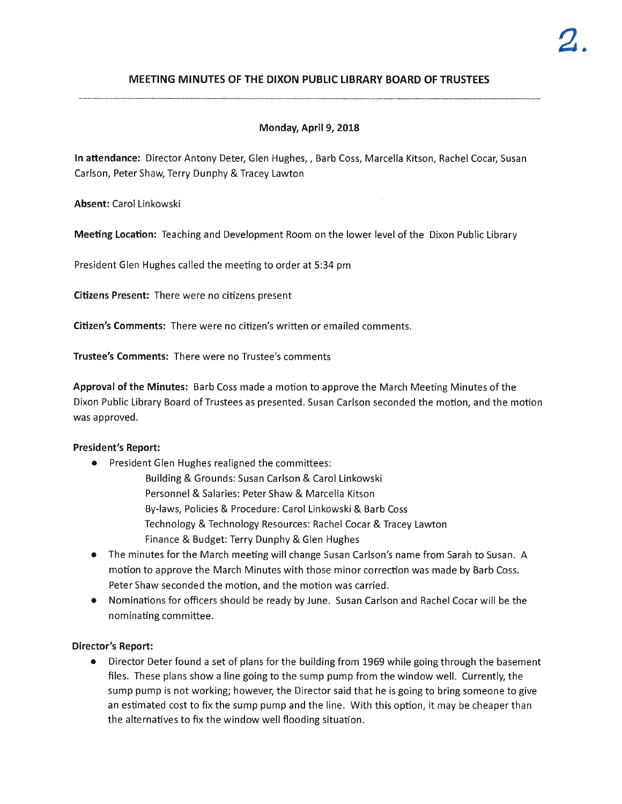# **MEETING MINUTES OF THE DIXON PUBLIC LIBRARY BOARD OF TRUSTEES**

# **Monday, April 9, 2018**

**In attendance:** Director Antony Deter, Glen Hughes,, Barb Coss, Marcella Kitson, Rachel Cocar, Susan Carlson, Peter Shaw, Terry Dunphy & Tracey Lawton

**Absent:** Carol Linkowski

**Meeting Location:** Teaching and Development Room on the lower level of the Dixon Public Library

President Glen Hughes called the meeting to order at 5:34 pm

**Citizens Present:** There were no citizens present

**Citizen's Comments:** There were no citizen's written or emailed comments.

**Trustee's Comments:** There were no Trustee's comments

**Approval of the Minutes:** Barb Coss made a motion to approve the March Meeting Minutes of the Dixon Public Library Board of Trustees as presented. Susan Carlson seconded the motion, and the motion was approved.

## **President's Report:**

- President Glen Hughes realigned the committees:
	- Building & Grounds: Susan Carlson & Carol Linkowski Personnel & Salaries: Peter Shaw & Marcella Kitson By-laws, Policies & Procedure: Carol Linkowski & Barb Coss Technology & Technology Resources: Rachel Cocar & Tracey Lawton Finance & Budget: Terry Dunphy & Glen Hughes
- The minutes for the March meeting will change Susan Carlson's name from Sarah to Susan. A motion to approve the March Minutes with those minor correction was made by Barb Coss. Peter Shaw seconded the motion, and the motion was carried.
- Nominations for officers should be ready by June. Susan Carlson and Rachel Cocar will be the nominating committee .

## **Director's Report:**

• Director Deter found a set of plans for the building from 1969 while going through the basement files. These plans show a line going to the sump pump from the window well. Currently, the sump pump is not working; however, the Director said that he is going to bring someone to give an estimated cost to fix the sump pump and the line. With this option, it may be cheaper than the alternatives to fix the window well flooding situation.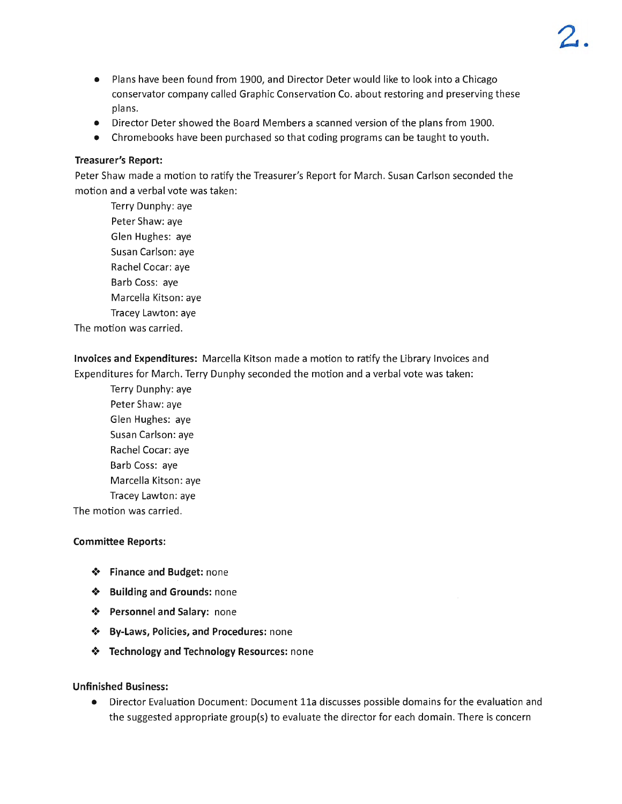- Plans have been found from 1900, and Director Deter would like to look into a Chicago conservator company called Graphic Conservation Co. about restoring and preserving these plans.
- Director Deter showed the Board Members a scanned version of the plans from 1900.
- Chromebooks have been purchased so that coding programs can be taught to youth.

## **Treasurer's Report:**

Peter Shaw made a motion to ratify the Treasurer's Report for March. Susan Carlson seconded the motion and a verbal vote was taken:

Terry Dunphy: aye Peter Shaw: aye Glen Hughes: aye Susan Carlson: aye Rachel Cocar: aye Barb Coss: aye Marcella Kitson: aye Tracey Lawton: aye The motion was carried.

**Invoices and Expenditures:** Marcella Kitson made a motion to ratify the Library Invoices and Expenditures for March. Terry Dunphy seconded the motion and a verbal vote was taken :

Terry Dunphy: aye Peter Shaw: aye Glen Hughes: aye Susan Carlson: aye Rachel Cocar: aye Barb Coss: aye Marcella Kitson: aye Tracey Lawton: aye

The motion was carried.

## **Committee Reports:**

- •!• **Finance and Budget:** none
- •!• **Building and Grounds:** none
- $\triangle$  **Personnel and Salary:** none
- •!• **By-Laws, Policies, and Procedures:** none
- •!• **Technology and Technology Resources:** none

## **Unfinished Business:**

• Director Evaluation Document: Document 11a discusses possible domains for the evaluation and the suggested appropriate group(s) to evaluate the director for each domain. There is concern